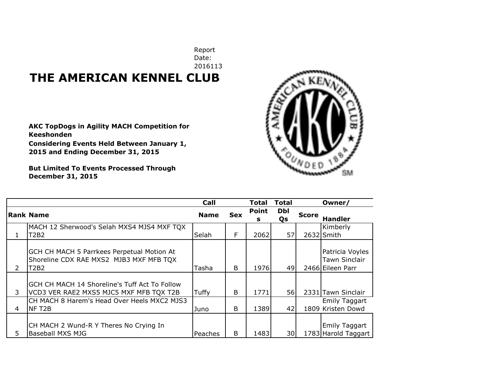## Date: 2016113 **THE AMERICAN KENNEL CLUB**

**AKC TopDogs in Agility MACH Competition for Keeshonden Considering Events Held Between January 1,** 

**2015 and Ending December 31, 2015**

**But Limited To Events Processed Through December 31, 2015**

| э,<br>E<br>¢ | D. | h.<br>ទ្ធ |
|--------------|----|-----------|
|              |    |           |
|              |    |           |

|    |                                                                                               | Call        |              | <b>Total</b>      | <b>Total</b> |              | Owner/                                                      |
|----|-----------------------------------------------------------------------------------------------|-------------|--------------|-------------------|--------------|--------------|-------------------------------------------------------------|
|    | <b>Rank Name</b>                                                                              | <b>Name</b> | <b>Sex</b>   | <b>Point</b><br>s | Dbl<br>Qs    | <b>Score</b> | <b>Handler</b>                                              |
|    | MACH 12 Sherwood's Selah MXS4 MJS4 MXF TQX<br>T2B2                                            | Selah       | F            | 2062              | 57           |              | Kimberly<br>2632 Smith                                      |
| 2  | GCH CH MACH 5 Parrkees Perpetual Motion At<br>Shoreline CDX RAE MXS2 MJB3 MXF MFB TQX<br>T2B2 | Tasha       | <sub>B</sub> | 1976              | 49           |              | Patricia Voyles<br><b>Tawn Sinclair</b><br>2466 Eileen Parr |
| 3  | GCH CH MACH 14 Shoreline's Tuff Act To Follow<br>VCD3 VER RAE2 MXS5 MJC5 MXF MFB TQX T2B      | Tuffy       | B            | 1771              | 56I          |              | 2331 Tawn Sinclair                                          |
| 4  | CH MACH 8 Harem's Head Over Heels MXC2 MJS3<br>NF T <sub>2</sub> B                            | Juno        | B.           | 1389              | 42           |              | <b>Emily Taggart</b><br>1809 Kristen Dowd                   |
| 5. | CH MACH 2 Wund-R Y Theres No Crying In<br><b>Baseball MXS MJG</b>                             | Peaches     | B            | 1483              | 30I          |              | Emily Taggart<br>1783 Harold Taggart                        |

Report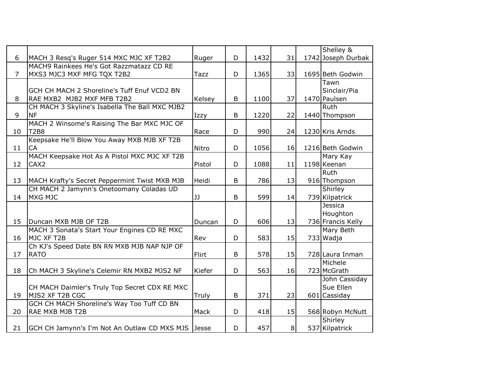|    |                                                    |        |         |      |                | Shelley &          |
|----|----------------------------------------------------|--------|---------|------|----------------|--------------------|
| 6  | MACH 3 Resq's Ruger 514 MXC MJC XF T2B2            | Ruger  | D       | 1432 | 31             | 1742 Joseph Durbak |
|    | MACH9 Rainkees He's Got Razzmatazz CD RE           |        |         |      |                |                    |
| 7  | MXS3 MJC3 MXF MFG TQX T2B2                         | Tazz   | D       | 1365 | 33             | 1695 Beth Godwin   |
|    |                                                    |        |         |      |                | Tawn               |
|    | GCH CH MACH 2 Shoreline's Tuff Enuf VCD2 BN        |        |         |      |                | Sinclair/Pia       |
| 8  | RAE MXB2 MJB2 MXF MFB T2B2                         | Kelsey | $\sf B$ | 1100 | 37             | 1470 Paulsen       |
|    | CH MACH 3 Skyline's Isabella The Ball MXC MJB2     |        |         |      |                | <b>Ruth</b>        |
| 9  | <b>NF</b>                                          | Izzy   | B       | 1220 | 22             | 1440 Thompson      |
|    | MACH 2 Winsome's Raising The Bar MXC MJC OF        |        |         |      |                |                    |
| 10 | T <sub>2B8</sub>                                   | Race   | D       | 990  | 24             | 1230 Kris Arnds    |
|    | Keepsake He'll Blow You Away MXB MJB XF T2B        |        |         |      |                |                    |
| 11 | <b>CA</b>                                          | Nitro  | D       | 1056 | 16             | 1216 Beth Godwin   |
|    | MACH Keepsake Hot As A Pistol MXC MJC XF T2B       |        |         |      |                | Mary Kay           |
| 12 | CAX <sub>2</sub>                                   | Pistol | D       | 1088 | 11             | 1198 Keenan        |
|    |                                                    |        |         |      |                | <b>Ruth</b>        |
| 13 | MACH Krafty's Secret Peppermint Twist MXB MJB      | Heidi  | B       | 786  | 13             | 916 Thompson       |
|    | CH MACH 2 Jamynn's Onetoomany Coladas UD           |        |         |      |                | Shirley            |
| 14 | MXG MJC                                            | IJ     | B       | 599  | 14             | 739 Kilpatrick     |
|    |                                                    |        |         |      |                | Jessica            |
|    |                                                    |        |         |      |                | Houghton           |
| 15 | Duncan MXB MJB OF T2B                              | Duncan | D       | 606  | 13             | 736 Francis Kelly  |
|    | MACH 3 Sonata's Start Your Engines CD RE MXC       |        |         |      |                | Mary Beth          |
| 16 | MJC XF T2B                                         | Rev    | D       | 583  | 15             | 733 Wadja          |
|    | Ch KJ's Speed Date BN RN MXB MJB NAP NJP OF        |        |         |      |                |                    |
| 17 | <b>RATO</b>                                        | Flirt  | B       | 578  | 15             | 728 Laura Inman    |
|    |                                                    |        |         |      |                | Michele            |
| 18 | Ch MACH 3 Skyline's Celemir RN MXB2 MJS2 NF        | Kiefer | D       | 563  | 16             | 723 McGrath        |
|    |                                                    |        |         |      |                | John Cassiday      |
|    | CH MACH Daimler's Truly Top Secret CDX RE MXC      |        |         |      |                | Sue Ellen          |
| 19 | MJS2 XF T2B CGC                                    | Truly  | B       | 371  | 23             | 601 Cassiday       |
|    | <b>GCH CH MACH Shoreline's Way Too Tuff CD BN</b>  |        |         |      |                |                    |
| 20 | <b>RAE MXB MJB T2B</b>                             | Mack   | D       | 418  | 15             | 568 Robyn McNutt   |
|    |                                                    |        |         |      |                | Shirley            |
| 21 | GCH CH Jamynn's I'm Not An Outlaw CD MXS MJS Jesse |        | D       | 457  | 8 <sup>1</sup> | 537 Kilpatrick     |